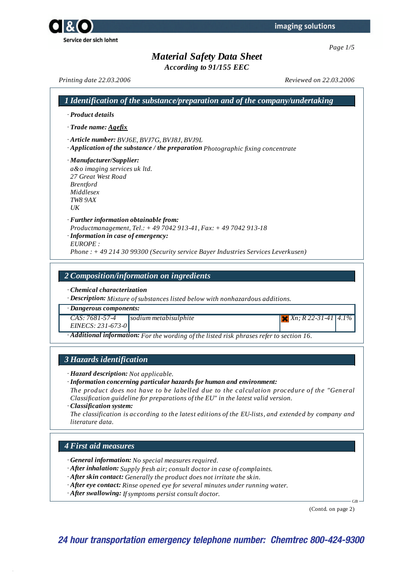Service der sich lohnt

# *Material Safety Data Sheet*

*According to 91/155 EEC*

*Printing date 22.03.2006 Reviewed on 22.03.2006*

| · Product details                                                                                                                                                                                                                                   |  |  |
|-----------------------------------------------------------------------------------------------------------------------------------------------------------------------------------------------------------------------------------------------------|--|--|
| $\cdot$ Trade name: Agefix                                                                                                                                                                                                                          |  |  |
| · Article number: BVJ6E, BVJ7G, BVJ8J, BVJ9L<br>· Application of the substance / the preparation Photographic fixing concentrate                                                                                                                    |  |  |
| · Manufacturer/Supplier:<br>a&o imaging services uk ltd.<br>27 Great West Road<br><b>Brentford</b><br>Middlesex<br><b>TW8 9AX</b><br>$U\bar{K}$                                                                                                     |  |  |
| $\cdot$ Further information obtainable from:<br>Productmanagement, Tel.: +49 7042 913-41, Fax: +49 7042 913-18<br>· Information in case of emergency:<br>EUROPE:<br>Phone: +49 214 30 99300 (Security service Bayer Industries Services Leverkusen) |  |  |
| 2 Composition/information on ingredients                                                                                                                                                                                                            |  |  |
| Chemical characterization<br>$\cdot$ <b>Description:</b> Mixture of substances listed below with nonhazardous additions.<br>· Dangerous components:                                                                                                 |  |  |

*· Additional information: For the wording of the listed risk phrases refer to section 16.*

### *3 Hazards identification*

*· Hazard description: Not applicable.*

*· Information concerning particular hazards for human and environment:*

*The product does not have to be labelled due to the calculation procedure of the "General Classification guideline for preparations of the EU" in the latest valid version.*

*· Classification system:*

*The classification is according to the latest editions of the EU-lists, and extended by company and literature data.*

### *4 First aid measures*

*· General information: No special measures required.*

- *· After inhalation: Supply fresh air; consult doctor in case of complaints.*
- *· After skin contact: Generally the product does not irritate the skin.*
- *· After eye contact: Rinse opened eye for several minutes under running water.*
- *· After swallowing: Ifsymptoms persist consult doctor.*

(Contd. on page 2)

GB

**24 hour transportation emergency telephone number: Chemtrec 800-424-9300**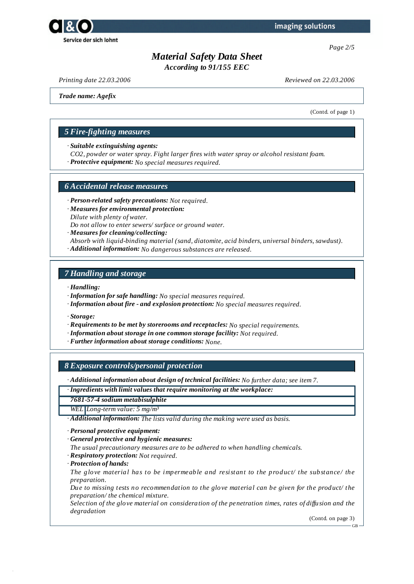

*Page 2/5*

# *Material Safety Data Sheet*

*According to 91/155 EEC*

*Printing date 22.03.2006 Reviewed on 22.03.2006*

*Trade name: Agefix*

(Contd. of page 1)

### *5 Fire-fighting measures*

*· Suitable extinguishing agents:*

- *CO2, powder or water spray. Fight larger fires with water spray or alcohol resistant foam.*
- *· Protective equipment: No special measures required.*

#### *6 Accidental release measures*

- *· Person-related safety precautions: Not required.*
- *· Measures for environmental protection: Dilute with plenty of water.*

*Do not allow to enter sewers/ surface or ground water.*

- *· Measures for cleaning/collecting:*
- *Absorb with liquid-binding material (sand, diatomite, acid binders, universal binders, sawdust).*
- *· Additional information: No dangerous substances are released.*

#### *7 Handling and storage*

- *· Handling:*
- *· Information for safe handling: No special measures required.*
- *· Information about fire - and explosion protection: No special measures required.*

*· Storage:*

- *· Requirements to be met by storerooms and receptacles: No special requirements.*
- *· Information about storage in one common storage facility: Not required.*
- *· Further information about storage conditions: None.*

*8 Exposure controls/personal protection*

*· Additional information about design of technical facilities: No further data; see item 7.*

*· Ingredients with limit values that require monitoring at the workplace:*

*7681-57-4 sodium metabisulphite*

*WEL Long-term value: 5 mg/m³*

*· Additional information: The lists valid during the making were used as basis.*

- *· Personal protective equipment:*
- *· General protective and hygienic measures:*
- *The usual precautionary measures are to be adhered to when handling chemicals.*
- *· Respiratory protection: Not required.*
- *· Protection of hands:*

*The glove material has to be impermeable and resistant to the product/ the substance/ the preparation.*

*Due to missing tests no recommendation to the glove material can be given for the product/ the preparation/ the chemical mixture.*

*Selection of the glove material on consideration of the penetration times, rates of dif usion and the degradation*

(Contd. on page 3)

GB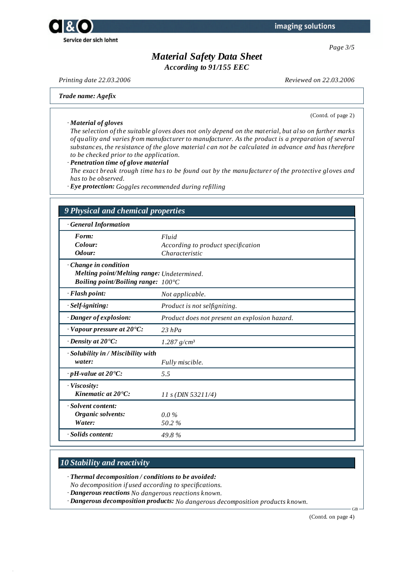



# *Material Safety Data Sheet*

*According to 91/155 EEC*

*· Material of gloves*

*Printing date 22.03.2006 Reviewed on 22.03.2006*

*Trade name: Agefix*

(Contd. of page 2)

The selection of the suitable gloves does not only depend on the material, but also on further marks *of quality and varies from manufacturer to manufacturer. As the product is a preparation of several substances, the resistance of the glove material can not be calculated in advance and has therefore to be checked prior to the application.*

*· Penetration time of glove material*

*The exact break trough time has to be found out by the manufacturer of the protective gloves and has to be observed.*

*· Eye protection: Goggles recommended during refilling*

| <b>General Information</b>                     |                                               |  |  |
|------------------------------------------------|-----------------------------------------------|--|--|
| Form:                                          | Fluid                                         |  |  |
| Colour:                                        | According to product specification            |  |  |
| Odour:                                         | Characteristic                                |  |  |
| Change in condition                            |                                               |  |  |
| Melting point/Melting range: Undetermined.     |                                               |  |  |
| Boiling point/Boiling range: $100^{\circ}$ C   |                                               |  |  |
| · Flash point:                                 | Not applicable.                               |  |  |
| · Self-igniting:                               | Product is not selfigniting.                  |  |  |
| · Danger of explosion:                         | Product does not present an explosion hazard. |  |  |
| $\cdot$ Vapour pressure at 20 $\textdegree$ C: | $23$ hPa                                      |  |  |
| $\cdot$ Density at 20 $\cdot$ C:               | $1.287$ g/cm <sup>3</sup>                     |  |  |
| · Solubility in / Miscibility with             |                                               |  |  |
| water:                                         | Fully miscible.                               |  |  |
| $\cdot$ pH-value at 20 $\textdegree$ C:        | 5.5                                           |  |  |
| · Viscosity:                                   |                                               |  |  |
| Kinematic at 20°C:                             | $11 s$ (DIN 53211/4)                          |  |  |
| Solvent content:                               |                                               |  |  |
| Organic solvents:                              | $0.0\%$                                       |  |  |
| Water:                                         | 50.2%                                         |  |  |

## *10 Stability and reactivity*

- *· Thermal decomposition / conditions to be avoided:*
- *No decomposition if used according to specifications.*
- *· Dangerous reactions No dangerous reactions known.*
- *· Dangerous decomposition products: No dangerous decomposition products known.*

(Contd. on page 4)

GB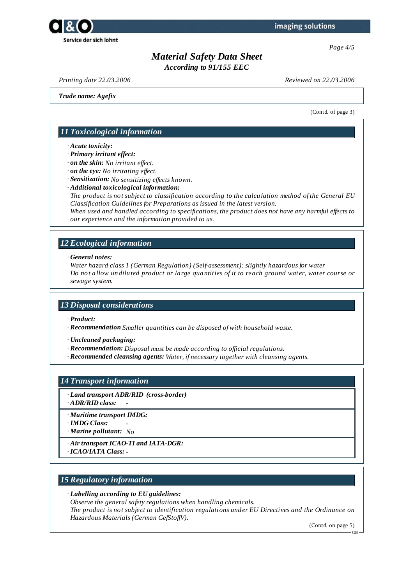

*Page 4/5*

# *Material Safety Data Sheet*

*According to 91/155 EEC*

*Printing date 22.03.2006 Reviewed on 22.03.2006*

*Trade name: Agefix*

(Contd. of page 3)

### *11 Toxicological information*

#### *· Acute toxicity:*

*· Primary irritant effect:*

- *· on the skin: No irritant ef ect.*
- *· on the eye: No irritating ef ect.*

*· Sensitization: No sensitizing ef ects known.*

*· Additional toxicological information:*

*The product is not subject to classification according to the calculation method of the General EU Classification Guidelines for Preparations as issued in the latest version.*

*When used and handled according to specifications, the product does not have any harmful ef ects to our experience and the information provided to us.*

### *12 Ecological information*

*· General notes:*

*Water hazard class 1 (German Regulation) (Self-assessment): slightly hazardous for water Do not allow undiluted product or large quantities of it to reach ground water, water course or sewage system.*

### *13 Disposal considerations*

- *· Product:*
- *· Recommendation Smaller quantities can be disposed of with household waste.*
- *· Uncleaned packaging:*
- *· Recommendation: Disposal must be made according to of icial regulations.*
- *· Recommended cleansing agents: Water, if necessary together with cleansing agents.*

#### *14 Transport information*

- *· Land transport ADR/RID (cross-border)*
- *· ADR/RID class: -*
- *· Maritime transport IMDG:*
- *· IMDG Class: -*
- *· Marine pollutant: No*
- *· Air transport ICAO-TI and IATA-DGR:*
- *· ICAO/IATA Class: -*

### *15 Regulatory information*

#### *· Labelling according to EU guidelines:*

*Observe the general safety regulations when handling chemicals. The product is not subject to identification regulations under EU Directives and the Ordinance on Hazardous Materials (German GefStof V).*

(Contd. on page 5)

GB